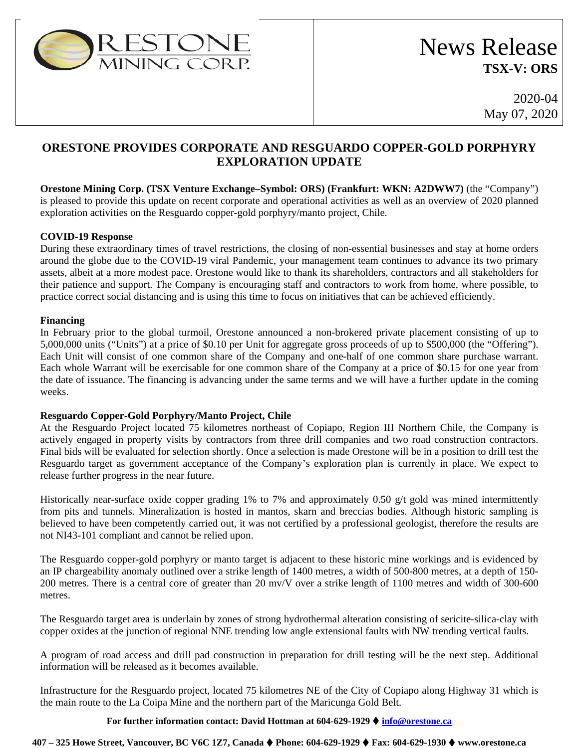

# News Release **TSX-V: ORS**

2020-04 May 07, 2020

### **ORESTONE PROVIDES CORPORATE AND RESGUARDO COPPER-GOLD PORPHYRY EXPLORATION UPDATE**

**Orestone Mining Corp. (TSX Venture Exchange–Symbol: ORS) (Frankfurt: WKN: A2DWW7)** (the "Company") is pleased to provide this update on recent corporate and operational activities as well as an overview of 2020 planned exploration activities on the Resguardo copper-gold porphyry/manto project, Chile.

### **COVID-19 Response**

During these extraordinary times of travel restrictions, the closing of non-essential businesses and stay at home orders around the globe due to the COVID-19 viral Pandemic, your management team continues to advance its two primary assets, albeit at a more modest pace. Orestone would like to thank its shareholders, contractors and all stakeholders for their patience and support. The Company is encouraging staff and contractors to work from home, where possible, to practice correct social distancing and is using this time to focus on initiatives that can be achieved efficiently.

### **Financing**

In February prior to the global turmoil, Orestone announced a non-brokered private placement consisting of up to 5,000,000 units ("Units") at a price of \$0.10 per Unit for aggregate gross proceeds of up to \$500,000 (the "Offering"). Each Unit will consist of one common share of the Company and one-half of one common share purchase warrant. Each whole Warrant will be exercisable for one common share of the Company at a price of \$0.15 for one year from the date of issuance. The financing is advancing under the same terms and we will have a further update in the coming weeks.

### **Resguardo Copper-Gold Porphyry/Manto Project, Chile**

At the Resguardo Project located 75 kilometres northeast of Copiapo, Region III Northern Chile, the Company is actively engaged in property visits by contractors from three drill companies and two road construction contractors. Final bids will be evaluated for selection shortly. Once a selection is made Orestone will be in a position to drill test the Resguardo target as government acceptance of the Company's exploration plan is currently in place. We expect to release further progress in the near future.

Historically near-surface oxide copper grading 1% to 7% and approximately 0.50 g/t gold was mined intermittently from pits and tunnels. Mineralization is hosted in mantos, skarn and breccias bodies. Although historic sampling is believed to have been competently carried out, it was not certified by a professional geologist, therefore the results are not NI43-101 compliant and cannot be relied upon.

The Resguardo copper-gold porphyry or manto target is adjacent to these historic mine workings and is evidenced by an IP chargeability anomaly outlined over a strike length of 1400 metres, a width of 500-800 metres, at a depth of 150- 200 metres. There is a central core of greater than 20 mv/V over a strike length of 1100 metres and width of 300-600 metres.

The Resguardo target area is underlain by zones of strong hydrothermal alteration consisting of sericite-silica-clay with copper oxides at the junction of regional NNE trending low angle extensional faults with NW trending vertical faults.

A program of road access and drill pad construction in preparation for drill testing will be the next step. Additional information will be released as it becomes available.

Infrastructure for the Resguardo project, located 75 kilometres NE of the City of Copiapo along Highway 31 which is the main route to the La Coipa Mine and the northern part of the Maricunga Gold Belt.

### **For further information contact: David Hottman at 604-629-1929 [info@orestone.ca](mailto:info@orestone.ca)**

**407 – 325 Howe Street, Vancouver, BC V6C 1Z7, Canada Phone: 604-629-1929 Fax: 604-629-1930 www.orestone.ca**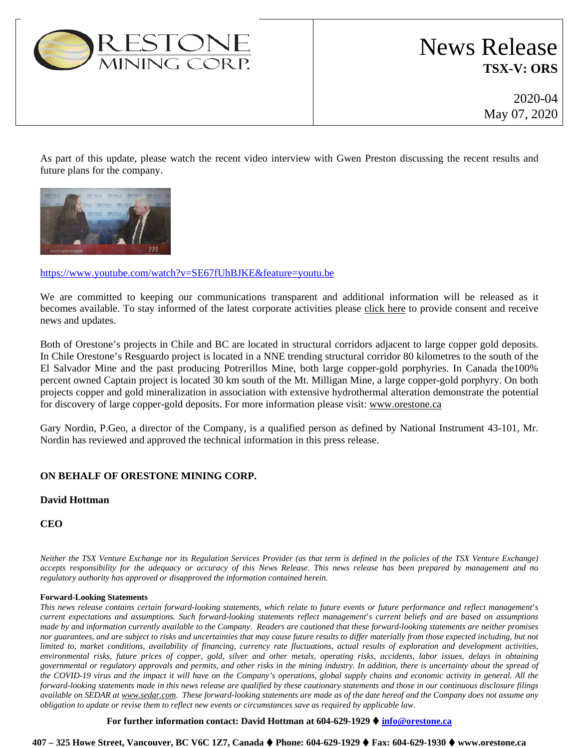

# News Release **TSX-V: ORS**

2020-04 May 07, 2020

As part of this update, please watch the recent video interview with Gwen Preston discussing the recent results and future plans for the company.



<https://www.youtube.com/watch?v=SE67fUhBJKE&feature=youtu.be>

We are committed to keeping our communications transparent and additional information will be released as it becomes available. To stay informed of the latest corporate activities please [click here](http://orestone.adnetcms.com/contact) to provide consent and receive news and updates.

Both of Orestone's projects in Chile and BC are located in structural corridors adjacent to large copper gold deposits. In Chile Orestone's Resguardo project is located in a NNE trending structural corridor 80 kilometres to the south of the El Salvador Mine and the past producing Potrerillos Mine, both large copper-gold porphyries. In Canada the100% percent owned Captain project is located 30 km south of the Mt. Milligan Mine, a large copper-gold porphyry. On both projects copper and gold mineralization in association with extensive hydrothermal alteration demonstrate the potential for discovery of large copper-gold deposits. For more information please visit: [www.orestone.ca](http://www.orestone.ca/)

Gary Nordin, P.Geo, a director of the Company, is a qualified person as defined by National Instrument 43-101, Mr. Nordin has reviewed and approved the technical information in this press release.

### **ON BEHALF OF ORESTONE MINING CORP.**

### **David Hottman**

**CEO**

*Neither the TSX Venture Exchange nor its Regulation Services Provider (as that term is defined in the policies of the TSX Venture Exchange) accepts responsibility for the adequacy or accuracy of this News Release. This news release has been prepared by management and no regulatory authority has approved or disapproved the information contained herein.*

#### **Forward-Looking Statements**

*This news release contains certain forward-looking statements, which relate to future events or future performance and reflect management*'*s current expectations and assumptions. Such forward-looking statements reflect management*'*s current beliefs and are based on assumptions made by and information currently available to the Company. Readers are cautioned that these forward-looking statements are neither promises nor guarantees, and are subject to risks and uncertainties that may cause future results to differ materially from those expected including, but not limited to, market conditions, availability of financing, currency rate fluctuations, actual results of exploration and development activities, environmental risks, future prices of copper, gold, silver and other metals, operating risks, accidents, labor issues, delays in obtaining governmental or regulatory approvals and permits, and other risks in the mining industry. In addition, there is uncertainty about the spread of the COVID-19 virus and the impact it will have on the Company's operations, global supply chains and economic activity in general. All the forward-looking statements made in this news release are qualified by these cautionary statements and those in our continuous disclosure filings available on SEDAR at [www.sedar.com](http://www.sedar.com/)*. *These forward-looking statements are made as of the date hereof and the Company does not assume any obligation to update or revise them to reflect new events or circumstances save as required by applicable law.*

### **For further information contact: David Hottman at 604-629-1929 [info@orestone.ca](mailto:info@orestone.ca)**

**407 – 325 Howe Street, Vancouver, BC V6C 1Z7, Canada Phone: 604-629-1929 Fax: 604-629-1930 www.orestone.ca**